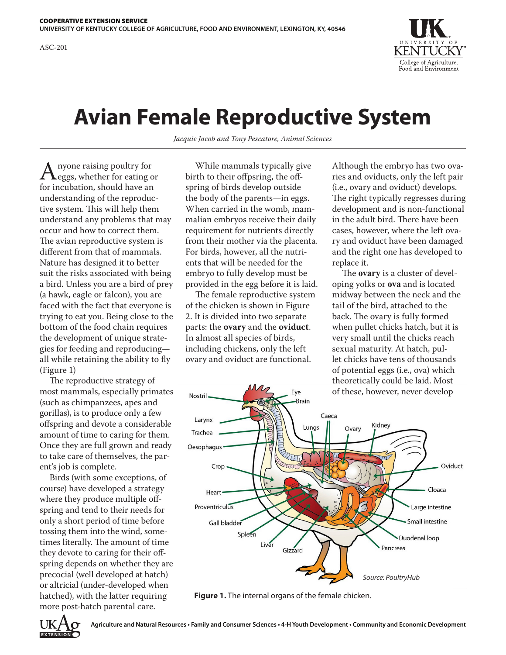

## **Avian Female Reproductive System**

*Jacquie Jacob and Tony Pescatore, Animal Sciences*

A nyone raising poultry for<br>for incubation, should have an for incubation, should have an understanding of the reproductive system. This will help them understand any problems that may occur and how to correct them. The avian reproductive system is different from that of mammals. Nature has designed it to better suit the risks associated with being a bird. Unless you are a bird of prey (a hawk, eagle or falcon), you are faced with the fact that everyone is trying to eat you. Being close to the bottom of the food chain requires the development of unique strategies for feeding and reproducing all while retaining the ability to fly (Figure 1)

The reproductive strategy of most mammals, especially primates (such as chimpanzees, apes and gorillas), is to produce only a few offspring and devote a considerable amount of time to caring for them. Once they are full grown and ready to take care of themselves, the parent's job is complete.

Birds (with some exceptions, of course) have developed a strategy where they produce multiple offspring and tend to their needs for only a short period of time before tossing them into the wind, sometimes literally. The amount of time they devote to caring for their offspring depends on whether they are precocial (well developed at hatch) or altricial (under-developed when hatched), with the latter requiring more post-hatch parental care.

While mammals typically give birth to their offpsring, the offspring of birds develop outside the body of the parents—in eggs. When carried in the womb, mammalian embryos receive their daily requirement for nutrients directly from their mother via the placenta. For birds, however, all the nutrients that will be needed for the embryo to fully develop must be provided in the egg before it is laid.

The female reproductive system of the chicken is shown in Figure 2. It is divided into two separate parts: the **ovary** and the **oviduct**. In almost all species of birds, including chickens, only the left ovary and oviduct are functional.

Although the embryo has two ovaries and oviducts, only the left pair (i.e., ovary and oviduct) develops. The right typically regresses during development and is non-functional in the adult bird. There have been cases, however, where the left ovary and oviduct have been damaged and the right one has developed to replace it.

The **ovary** is a cluster of developing yolks or **ova** and is located midway between the neck and the tail of the bird, attached to the back. The ovary is fully formed when pullet chicks hatch, but it is very small until the chicks reach sexual maturity. At hatch, pullet chicks have tens of thousands of potential eggs (i.e., ova) which theoretically could be laid. Most of these, however, never develop



**Figure 1.** The internal organs of the female chicken.

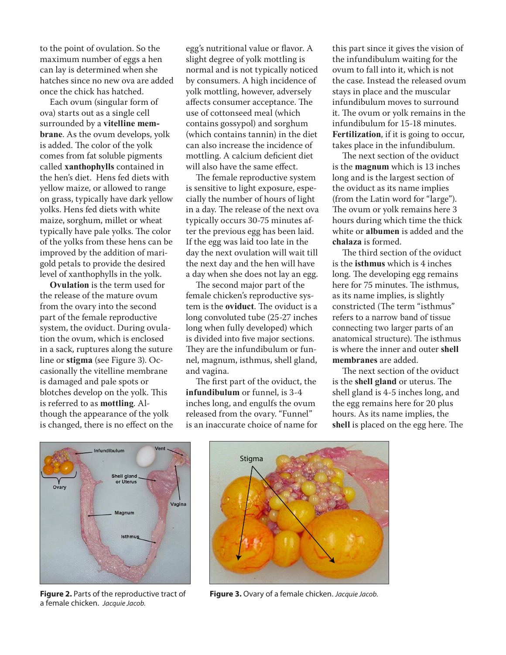to the point of ovulation. So the maximum number of eggs a hen can lay is determined when she hatches since no new ova are added once the chick has hatched.

Each ovum (singular form of ova) starts out as a single cell surrounded by a **vitelline membrane**. As the ovum develops, yolk is added. The color of the yolk comes from fat soluble pigments called **xanthophylls** contained in the hen's diet. Hens fed diets with yellow maize, or allowed to range on grass, typically have dark yellow yolks. Hens fed diets with white maize, sorghum, millet or wheat typically have pale yolks. The color of the yolks from these hens can be improved by the addition of marigold petals to provide the desired level of xanthophylls in the yolk.

**Ovulation** is the term used for the release of the mature ovum from the ovary into the second part of the female reproductive system, the oviduct. During ovulation the ovum, which is enclosed in a sack, ruptures along the suture line or **stigma** (see Figure 3). Occasionally the vitelline membrane is damaged and pale spots or blotches develop on the yolk. This is referred to as **mottling**. Although the appearance of the yolk is changed, there is no effect on the egg's nutritional value or flavor. A slight degree of yolk mottling is normal and is not typically noticed by consumers. A high incidence of yolk mottling, however, adversely affects consumer acceptance. The use of cottonseed meal (which contains gossypol) and sorghum (which contains tannin) in the diet can also increase the incidence of mottling. A calcium deficient diet will also have the same effect.

The female reproductive system is sensitive to light exposure, especially the number of hours of light in a day. The release of the next ova typically occurs 30-75 minutes after the previous egg has been laid. If the egg was laid too late in the day the next ovulation will wait till the next day and the hen will have a day when she does not lay an egg.

The second major part of the female chicken's reproductive system is the **oviduct**. The oviduct is a long convoluted tube (25-27 inches long when fully developed) which is divided into five major sections. They are the infundibulum or funnel, magnum, isthmus, shell gland, and vagina.

The first part of the oviduct, the **infundibulum** or funnel, is 3-4 inches long, and engulfs the ovum released from the ovary. "Funnel" is an inaccurate choice of name for this part since it gives the vision of the infundibulum waiting for the ovum to fall into it, which is not the case. Instead the released ovum stays in place and the muscular infundibulum moves to surround it. The ovum or yolk remains in the infundibulum for 15-18 minutes. **Fertilization**, if it is going to occur, takes place in the infundibulum.

The next section of the oviduct is the **magnum** which is 13 inches long and is the largest section of the oviduct as its name implies (from the Latin word for "large"). The ovum or yolk remains here 3 hours during which time the thick white or **albumen** is added and the **chalaza** is formed.

The third section of the oviduct is the **isthmus** which is 4 inches long. The developing egg remains here for 75 minutes. The isthmus, as its name implies, is slightly constricted (The term "isthmus" refers to a narrow band of tissue connecting two larger parts of an anatomical structure). The isthmus is where the inner and outer **shell membranes** are added.

The next section of the oviduct is the **shell gland** or uterus. The shell gland is 4-5 inches long, and the egg remains here for 20 plus hours. As its name implies, the **shell** is placed on the egg here. The



**Figure 2.** Parts of the reproductive tract of a female chicken. *Jacquie Jacob.*



**Figure 3.** Ovary of a female chicken. *Jacquie Jacob.*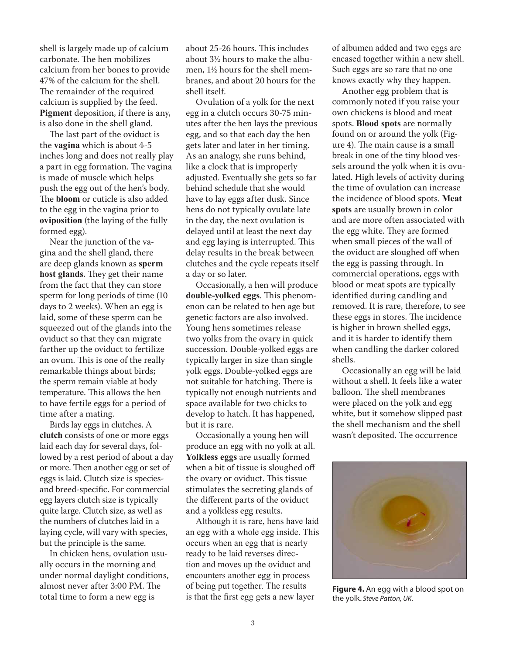shell is largely made up of calcium carbonate. The hen mobilizes calcium from her bones to provide 47% of the calcium for the shell. The remainder of the required calcium is supplied by the feed. **Pigment** deposition, if there is any, is also done in the shell gland.

The last part of the oviduct is the **vagina** which is about 4-5 inches long and does not really play a part in egg formation. The vagina is made of muscle which helps push the egg out of the hen's body. The **bloom** or cuticle is also added to the egg in the vagina prior to **oviposition** (the laying of the fully formed egg).

Near the junction of the vagina and the shell gland, there are deep glands known as **sperm host glands**. They get their name from the fact that they can store sperm for long periods of time (10 days to 2 weeks). When an egg is laid, some of these sperm can be squeezed out of the glands into the oviduct so that they can migrate farther up the oviduct to fertilize an ovum. This is one of the really remarkable things about birds; the sperm remain viable at body temperature. This allows the hen to have fertile eggs for a period of time after a mating.

Birds lay eggs in clutches. A **clutch** consists of one or more eggs laid each day for several days, followed by a rest period of about a day or more. Then another egg or set of eggs is laid. Clutch size is speciesand breed-specific. For commercial egg layers clutch size is typically quite large. Clutch size, as well as the numbers of clutches laid in a laying cycle, will vary with species, but the principle is the same.

In chicken hens, ovulation usually occurs in the morning and under normal daylight conditions, almost never after 3:00 PM. The total time to form a new egg is

about 25-26 hours. This includes about 3½ hours to make the albumen, 1½ hours for the shell membranes, and about 20 hours for the shell itself.

Ovulation of a yolk for the next egg in a clutch occurs 30-75 minutes after the hen lays the previous egg, and so that each day the hen gets later and later in her timing. As an analogy, she runs behind, like a clock that is improperly adjusted. Eventually she gets so far behind schedule that she would have to lay eggs after dusk. Since hens do not typically ovulate late in the day, the next ovulation is delayed until at least the next day and egg laying is interrupted. This delay results in the break between clutches and the cycle repeats itself a day or so later.

Occasionally, a hen will produce **double-yolked eggs**. This phenomenon can be related to hen age but genetic factors are also involved. Young hens sometimes release two yolks from the ovary in quick succession. Double-yolked eggs are typically larger in size than single yolk eggs. Double-yolked eggs are not suitable for hatching. There is typically not enough nutrients and space available for two chicks to develop to hatch. It has happened, but it is rare.

Occasionally a young hen will produce an egg with no yolk at all. **Yolkless eggs** are usually formed when a bit of tissue is sloughed off the ovary or oviduct. This tissue stimulates the secreting glands of the different parts of the oviduct and a yolkless egg results.

Although it is rare, hens have laid an egg with a whole egg inside. This occurs when an egg that is nearly ready to be laid reverses direction and moves up the oviduct and encounters another egg in process of being put together. The results is that the first egg gets a new layer

of albumen added and two eggs are encased together within a new shell. Such eggs are so rare that no one knows exactly why they happen.

Another egg problem that is commonly noted if you raise your own chickens is blood and meat spots. **Blood spots** are normally found on or around the yolk (Figure 4). The main cause is a small break in one of the tiny blood vessels around the yolk when it is ovulated. High levels of activity during the time of ovulation can increase the incidence of blood spots. **Meat spots** are usually brown in color and are more often associated with the egg white. They are formed when small pieces of the wall of the oviduct are sloughed off when the egg is passing through. In commercial operations, eggs with blood or meat spots are typically identified during candling and removed. It is rare, therefore, to see these eggs in stores. The incidence is higher in brown shelled eggs, and it is harder to identify them when candling the darker colored shells.

Occasionally an egg will be laid without a shell. It feels like a water balloon. The shell membranes were placed on the yolk and egg white, but it somehow slipped past the shell mechanism and the shell wasn't deposited. The occurrence



**Figure 4.** An egg with a blood spot on the yolk. *Steve Patton, UK.*